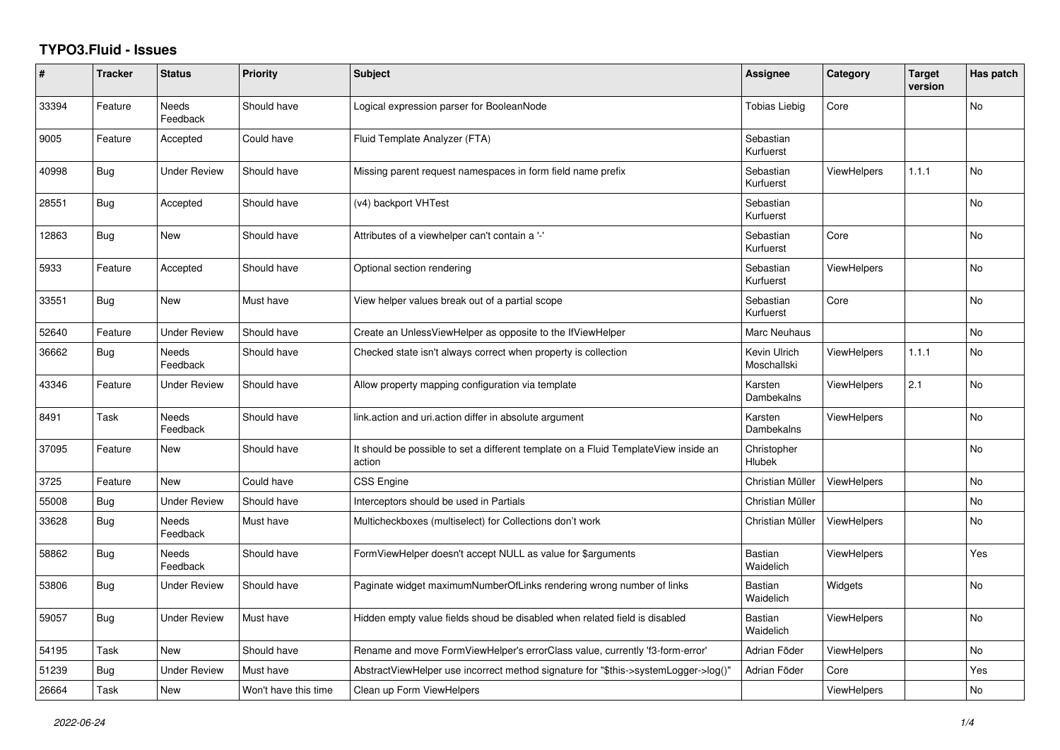## **TYPO3.Fluid - Issues**

| #     | <b>Tracker</b> | <b>Status</b>            | Priority             | <b>Subject</b>                                                                                | Assignee                    | Category           | <b>Target</b><br>version | Has patch |
|-------|----------------|--------------------------|----------------------|-----------------------------------------------------------------------------------------------|-----------------------------|--------------------|--------------------------|-----------|
| 33394 | Feature        | Needs<br>Feedback        | Should have          | Logical expression parser for BooleanNode                                                     | <b>Tobias Liebig</b>        | Core               |                          | No        |
| 9005  | Feature        | Accepted                 | Could have           | Fluid Template Analyzer (FTA)                                                                 | Sebastian<br>Kurfuerst      |                    |                          |           |
| 40998 | Bug            | <b>Under Review</b>      | Should have          | Missing parent request namespaces in form field name prefix                                   | Sebastian<br>Kurfuerst      | <b>ViewHelpers</b> | 1.1.1                    | No        |
| 28551 | <b>Bug</b>     | Accepted                 | Should have          | (v4) backport VHTest                                                                          | Sebastian<br>Kurfuerst      |                    |                          | No        |
| 12863 | <b>Bug</b>     | <b>New</b>               | Should have          | Attributes of a viewhelper can't contain a '-'                                                | Sebastian<br>Kurfuerst      | Core               |                          | <b>No</b> |
| 5933  | Feature        | Accepted                 | Should have          | Optional section rendering                                                                    | Sebastian<br>Kurfuerst      | <b>ViewHelpers</b> |                          | <b>No</b> |
| 33551 | <b>Bug</b>     | New                      | Must have            | View helper values break out of a partial scope                                               | Sebastian<br>Kurfuerst      | Core               |                          | No        |
| 52640 | Feature        | <b>Under Review</b>      | Should have          | Create an UnlessViewHelper as opposite to the IfViewHelper                                    | Marc Neuhaus                |                    |                          | <b>No</b> |
| 36662 | <b>Bug</b>     | <b>Needs</b><br>Feedback | Should have          | Checked state isn't always correct when property is collection                                | Kevin Ulrich<br>Moschallski | <b>ViewHelpers</b> | 1.1.1                    | <b>No</b> |
| 43346 | Feature        | Under Review             | Should have          | Allow property mapping configuration via template                                             | Karsten<br>Dambekalns       | <b>ViewHelpers</b> | 2.1                      | No        |
| 8491  | Task           | Needs<br>Feedback        | Should have          | link.action and uri.action differ in absolute argument                                        | Karsten<br>Dambekalns       | <b>ViewHelpers</b> |                          | No        |
| 37095 | Feature        | New                      | Should have          | It should be possible to set a different template on a Fluid TemplateView inside an<br>action | Christopher<br>Hlubek       |                    |                          | No        |
| 3725  | Feature        | New                      | Could have           | <b>CSS Engine</b>                                                                             | Christian Müller            | <b>ViewHelpers</b> |                          | <b>No</b> |
| 55008 | Bug            | <b>Under Review</b>      | Should have          | Interceptors should be used in Partials                                                       | Christian Müller            |                    |                          | No        |
| 33628 | <b>Bug</b>     | Needs<br>Feedback        | Must have            | Multicheckboxes (multiselect) for Collections don't work                                      | Christian Müller            | ViewHelpers        |                          | No        |
| 58862 | <b>Bug</b>     | Needs<br>Feedback        | Should have          | FormViewHelper doesn't accept NULL as value for \$arguments                                   | <b>Bastian</b><br>Waidelich | <b>ViewHelpers</b> |                          | Yes       |
| 53806 | <b>Bug</b>     | <b>Under Review</b>      | Should have          | Paginate widget maximumNumberOfLinks rendering wrong number of links                          | Bastian<br>Waidelich        | Widgets            |                          | <b>No</b> |
| 59057 | <b>Bug</b>     | <b>Under Review</b>      | Must have            | Hidden empty value fields shoud be disabled when related field is disabled                    | <b>Bastian</b><br>Waidelich | <b>ViewHelpers</b> |                          | <b>No</b> |
| 54195 | Task           | New                      | Should have          | Rename and move FormViewHelper's errorClass value, currently 'f3-form-error'                  | Adrian Föder                | <b>ViewHelpers</b> |                          | No        |
| 51239 | Bug            | <b>Under Review</b>      | Must have            | AbstractViewHelper use incorrect method signature for "\$this->systemLogger->log()"           | Adrian Föder                | Core               |                          | Yes       |
| 26664 | Task           | New                      | Won't have this time | Clean up Form ViewHelpers                                                                     |                             | ViewHelpers        |                          | No        |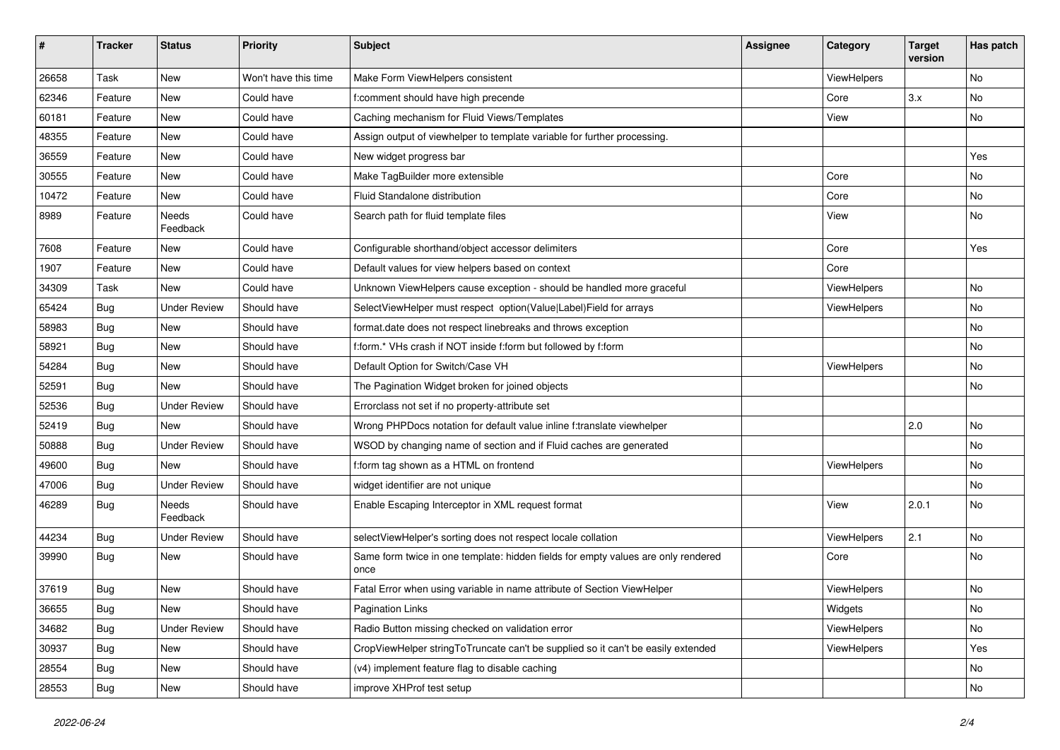| #     | <b>Tracker</b> | <b>Status</b>            | <b>Priority</b>      | Subject                                                                                   | <b>Assignee</b> | Category    | <b>Target</b><br>version | Has patch |
|-------|----------------|--------------------------|----------------------|-------------------------------------------------------------------------------------------|-----------------|-------------|--------------------------|-----------|
| 26658 | Task           | New                      | Won't have this time | Make Form ViewHelpers consistent                                                          |                 | ViewHelpers |                          | <b>No</b> |
| 62346 | Feature        | New                      | Could have           | f:comment should have high precende                                                       |                 | Core        | 3.x                      | <b>No</b> |
| 60181 | Feature        | New                      | Could have           | Caching mechanism for Fluid Views/Templates                                               |                 | View        |                          | No        |
| 48355 | Feature        | New                      | Could have           | Assign output of viewhelper to template variable for further processing.                  |                 |             |                          |           |
| 36559 | Feature        | New                      | Could have           | New widget progress bar                                                                   |                 |             |                          | Yes       |
| 30555 | Feature        | <b>New</b>               | Could have           | Make TagBuilder more extensible                                                           |                 | Core        |                          | No        |
| 10472 | Feature        | New                      | Could have           | Fluid Standalone distribution                                                             |                 | Core        |                          | No        |
| 8989  | Feature        | Needs<br>Feedback        | Could have           | Search path for fluid template files                                                      |                 | View        |                          | No        |
| 7608  | Feature        | New                      | Could have           | Configurable shorthand/object accessor delimiters                                         |                 | Core        |                          | Yes       |
| 1907  | Feature        | New                      | Could have           | Default values for view helpers based on context                                          |                 | Core        |                          |           |
| 34309 | Task           | New                      | Could have           | Unknown ViewHelpers cause exception - should be handled more graceful                     |                 | ViewHelpers |                          | No        |
| 65424 | Bug            | <b>Under Review</b>      | Should have          | SelectViewHelper must respect option(Value Label)Field for arrays                         |                 | ViewHelpers |                          | No        |
| 58983 | Bug            | New                      | Should have          | format.date does not respect linebreaks and throws exception                              |                 |             |                          | No        |
| 58921 | Bug            | New                      | Should have          | f:form.* VHs crash if NOT inside f:form but followed by f:form                            |                 |             |                          | No        |
| 54284 | Bug            | New                      | Should have          | Default Option for Switch/Case VH                                                         |                 | ViewHelpers |                          | No        |
| 52591 | Bug            | New                      | Should have          | The Pagination Widget broken for joined objects                                           |                 |             |                          | No        |
| 52536 | Bug            | <b>Under Review</b>      | Should have          | Errorclass not set if no property-attribute set                                           |                 |             |                          |           |
| 52419 | Bug            | New                      | Should have          | Wrong PHPDocs notation for default value inline f:translate viewhelper                    |                 |             | 2.0                      | <b>No</b> |
| 50888 | Bug            | <b>Under Review</b>      | Should have          | WSOD by changing name of section and if Fluid caches are generated                        |                 |             |                          | No        |
| 49600 | Bug            | New                      | Should have          | f:form tag shown as a HTML on frontend                                                    |                 | ViewHelpers |                          | No        |
| 47006 | Bug            | <b>Under Review</b>      | Should have          | widget identifier are not unique                                                          |                 |             |                          | No        |
| 46289 | Bug            | <b>Needs</b><br>Feedback | Should have          | Enable Escaping Interceptor in XML request format                                         |                 | View        | 2.0.1                    | No        |
| 44234 | Bug            | <b>Under Review</b>      | Should have          | selectViewHelper's sorting does not respect locale collation                              |                 | ViewHelpers | 2.1                      | <b>No</b> |
| 39990 | Bug            | New                      | Should have          | Same form twice in one template: hidden fields for empty values are only rendered<br>once |                 | Core        |                          | <b>No</b> |
| 37619 | Bug            | New                      | Should have          | Fatal Error when using variable in name attribute of Section ViewHelper                   |                 | ViewHelpers |                          | No        |
| 36655 | Bug            | New                      | Should have          | <b>Pagination Links</b>                                                                   |                 | Widgets     |                          | No        |
| 34682 | <b>Bug</b>     | <b>Under Review</b>      | Should have          | Radio Button missing checked on validation error                                          |                 | ViewHelpers |                          | No        |
| 30937 | Bug            | New                      | Should have          | CropViewHelper stringToTruncate can't be supplied so it can't be easily extended          |                 | ViewHelpers |                          | Yes       |
| 28554 | Bug            | New                      | Should have          | (v4) implement feature flag to disable caching                                            |                 |             |                          | No        |
| 28553 | <b>Bug</b>     | New                      | Should have          | improve XHProf test setup                                                                 |                 |             |                          | No        |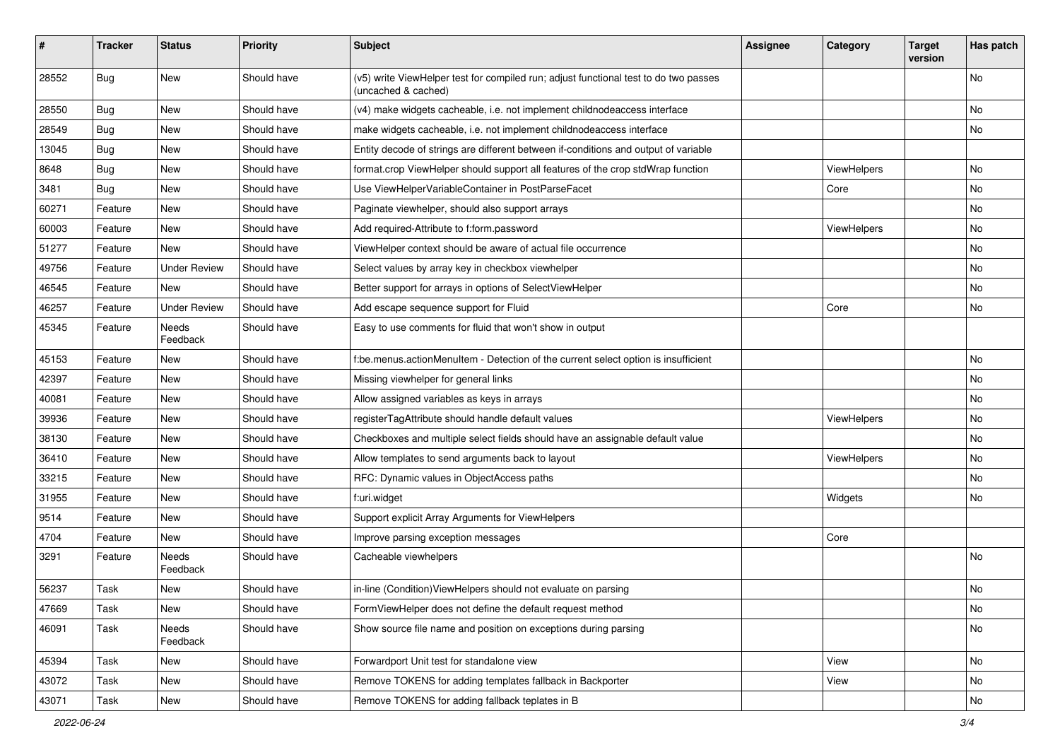| #     | <b>Tracker</b> | <b>Status</b>       | <b>Priority</b> | Subject                                                                                                     | <b>Assignee</b> | Category    | <b>Target</b><br>version | Has patch |
|-------|----------------|---------------------|-----------------|-------------------------------------------------------------------------------------------------------------|-----------------|-------------|--------------------------|-----------|
| 28552 | Bug            | New                 | Should have     | (v5) write ViewHelper test for compiled run; adjust functional test to do two passes<br>(uncached & cached) |                 |             |                          | <b>No</b> |
| 28550 | Bug            | New                 | Should have     | (v4) make widgets cacheable, i.e. not implement childnodeaccess interface                                   |                 |             |                          | No        |
| 28549 | Bug            | New                 | Should have     | make widgets cacheable, i.e. not implement childnodeaccess interface                                        |                 |             |                          | No        |
| 13045 | Bug            | New                 | Should have     | Entity decode of strings are different between if-conditions and output of variable                         |                 |             |                          |           |
| 8648  | Bug            | New                 | Should have     | format.crop ViewHelper should support all features of the crop stdWrap function                             |                 | ViewHelpers |                          | No        |
| 3481  | Bug            | New                 | Should have     | Use ViewHelperVariableContainer in PostParseFacet                                                           |                 | Core        |                          | No        |
| 60271 | Feature        | New                 | Should have     | Paginate viewhelper, should also support arrays                                                             |                 |             |                          | No        |
| 60003 | Feature        | New                 | Should have     | Add required-Attribute to f:form.password                                                                   |                 | ViewHelpers |                          | No        |
| 51277 | Feature        | <b>New</b>          | Should have     | ViewHelper context should be aware of actual file occurrence                                                |                 |             |                          | No        |
| 49756 | Feature        | <b>Under Review</b> | Should have     | Select values by array key in checkbox viewhelper                                                           |                 |             |                          | No        |
| 46545 | Feature        | New                 | Should have     | Better support for arrays in options of SelectViewHelper                                                    |                 |             |                          | No        |
| 46257 | Feature        | <b>Under Review</b> | Should have     | Add escape sequence support for Fluid                                                                       |                 | Core        |                          | No        |
| 45345 | Feature        | Needs<br>Feedback   | Should have     | Easy to use comments for fluid that won't show in output                                                    |                 |             |                          |           |
| 45153 | Feature        | New                 | Should have     | f:be.menus.actionMenuItem - Detection of the current select option is insufficient                          |                 |             |                          | No        |
| 42397 | Feature        | New                 | Should have     | Missing viewhelper for general links                                                                        |                 |             |                          | No        |
| 40081 | Feature        | New                 | Should have     | Allow assigned variables as keys in arrays                                                                  |                 |             |                          | No        |
| 39936 | Feature        | New                 | Should have     | registerTagAttribute should handle default values                                                           |                 | ViewHelpers |                          | No        |
| 38130 | Feature        | New                 | Should have     | Checkboxes and multiple select fields should have an assignable default value                               |                 |             |                          | No        |
| 36410 | Feature        | New                 | Should have     | Allow templates to send arguments back to layout                                                            |                 | ViewHelpers |                          | No        |
| 33215 | Feature        | New                 | Should have     | RFC: Dynamic values in ObjectAccess paths                                                                   |                 |             |                          | No        |
| 31955 | Feature        | New                 | Should have     | f:uri.widget                                                                                                |                 | Widgets     |                          | No        |
| 9514  | Feature        | New                 | Should have     | Support explicit Array Arguments for ViewHelpers                                                            |                 |             |                          |           |
| 4704  | Feature        | New                 | Should have     | Improve parsing exception messages                                                                          |                 | Core        |                          |           |
| 3291  | Feature        | Needs<br>Feedback   | Should have     | Cacheable viewhelpers                                                                                       |                 |             |                          | <b>No</b> |
| 56237 | Task           | New                 | Should have     | in-line (Condition) View Helpers should not evaluate on parsing                                             |                 |             |                          | No        |
| 47669 | Task           | New                 | Should have     | FormViewHelper does not define the default request method                                                   |                 |             |                          | No        |
| 46091 | Task           | Needs<br>Feedback   | Should have     | Show source file name and position on exceptions during parsing                                             |                 |             |                          | No        |
| 45394 | Task           | New                 | Should have     | Forwardport Unit test for standalone view                                                                   |                 | View        |                          | No        |
| 43072 | Task           | New                 | Should have     | Remove TOKENS for adding templates fallback in Backporter                                                   |                 | View        |                          | No        |
| 43071 | Task           | New                 | Should have     | Remove TOKENS for adding fallback teplates in B                                                             |                 |             |                          | No        |